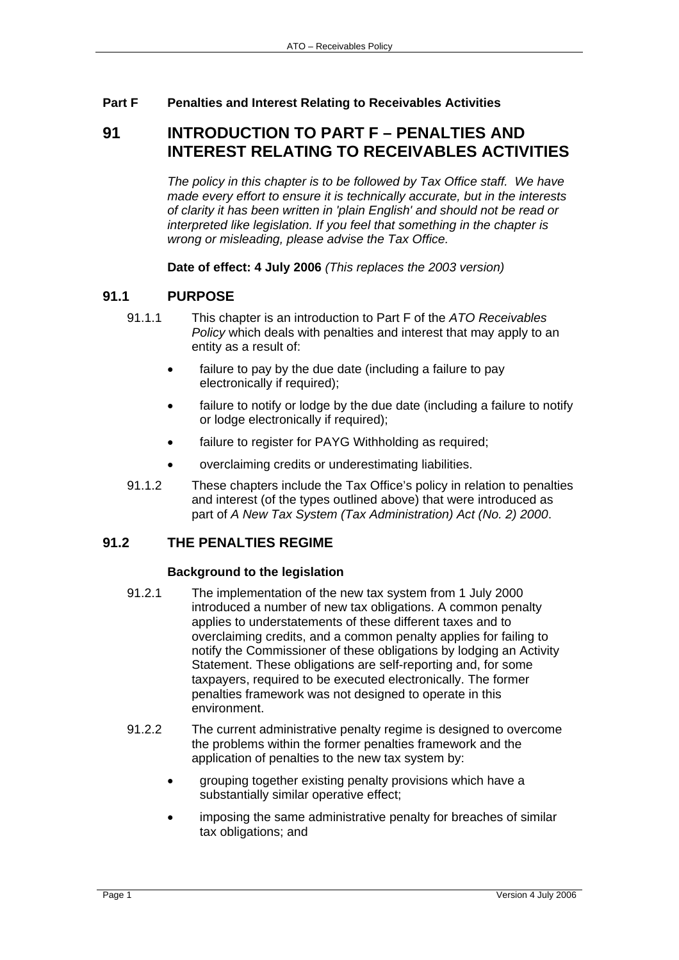### **Part F Penalties and Interest Relating to Receivables Activities**

# **91 INTRODUCTION TO PART F – PENALTIES AND INTEREST RELATING TO RECEIVABLES ACTIVITIES**

*The policy in this chapter is to be followed by Tax Office staff. We have made every effort to ensure it is technically accurate, but in the interests of clarity it has been written in 'plain English' and should not be read or interpreted like legislation. If you feel that something in the chapter is wrong or misleading, please advise the Tax Office.*

**Date of effect: 4 July 2006** *(This replaces the 2003 version)* 

# **91.1 PURPOSE**

- 91.1.1 This chapter is an introduction to Part F of the *ATO Receivables Policy* which deals with penalties and interest that may apply to an entity as a result of:
	- failure to pay by the due date (including a failure to pay electronically if required);
	- failure to notify or lodge by the due date (including a failure to notify or lodge electronically if required);
	- failure to register for PAYG Withholding as required;
	- overclaiming credits or underestimating liabilities.
- 91.1.2 These chapters include the Tax Office's policy in relation to penalties and interest (of the types outlined above) that were introduced as part of *A New Tax System (Tax Administration) Act (No. 2) 2000*.

# **91.2 THE PENALTIES REGIME**

#### **Background to the legislation**

- 91.2.1 The implementation of the new tax system from 1 July 2000 introduced a number of new tax obligations. A common penalty applies to understatements of these different taxes and to overclaiming credits, and a common penalty applies for failing to notify the Commissioner of these obligations by lodging an Activity Statement. These obligations are self-reporting and, for some taxpayers, required to be executed electronically. The former penalties framework was not designed to operate in this environment.
- 91.2.2 The current administrative penalty regime is designed to overcome the problems within the former penalties framework and the application of penalties to the new tax system by:
	- grouping together existing penalty provisions which have a substantially similar operative effect;
	- imposing the same administrative penalty for breaches of similar tax obligations; and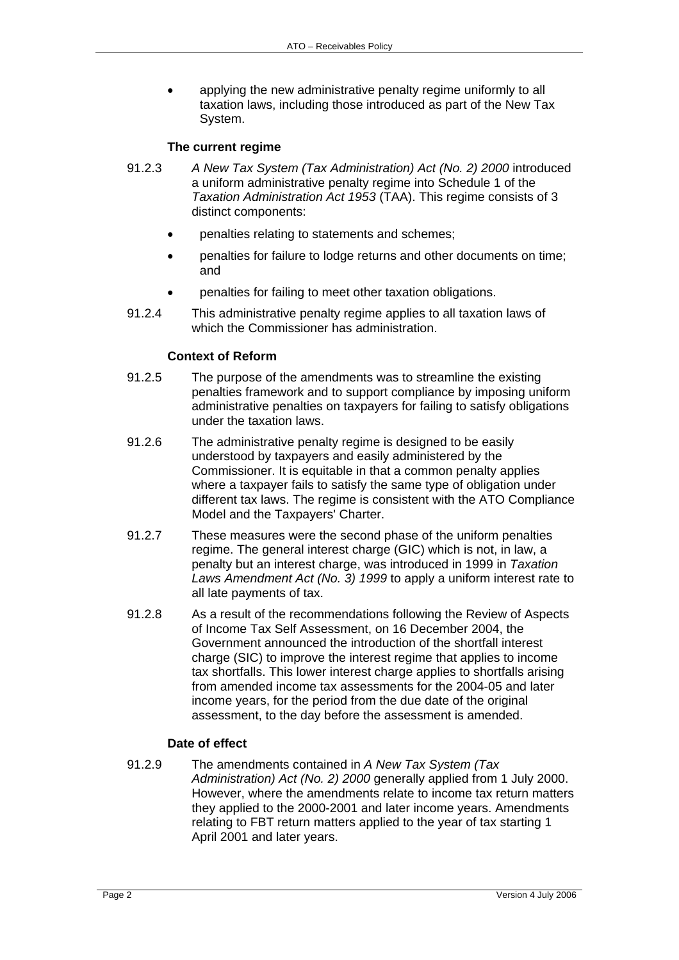• applying the new administrative penalty regime uniformly to all taxation laws, including those introduced as part of the New Tax System.

#### **The current regime**

- 91.2.3 *A New Tax System (Tax Administration) Act (No. 2) 2000* introduced a uniform administrative penalty regime into Schedule 1 of the *Taxation Administration Act 1953* (TAA). This regime consists of 3 distinct components:
	- penalties relating to statements and schemes;
	- penalties for failure to lodge returns and other documents on time; and
	- penalties for failing to meet other taxation obligations.
- 91.2.4 This administrative penalty regime applies to all taxation laws of which the Commissioner has administration.

#### **Context of Reform**

- 91.2.5 The purpose of the amendments was to streamline the existing penalties framework and to support compliance by imposing uniform administrative penalties on taxpayers for failing to satisfy obligations under the taxation laws.
- 91.2.6 The administrative penalty regime is designed to be easily understood by taxpayers and easily administered by the Commissioner. It is equitable in that a common penalty applies where a taxpayer fails to satisfy the same type of obligation under different tax laws. The regime is consistent with the ATO Compliance Model and the Taxpayers' Charter.
- 91.2.7 These measures were the second phase of the uniform penalties regime. The general interest charge (GIC) which is not, in law, a penalty but an interest charge, was introduced in 1999 in *Taxation Laws Amendment Act (No. 3) 1999* to apply a uniform interest rate to all late payments of tax.
- 91.2.8 As a result of the recommendations following the Review of Aspects of Income Tax Self Assessment, on 16 December 2004, the Government announced the introduction of the shortfall interest charge (SIC) to improve the interest regime that applies to income tax shortfalls. This lower interest charge applies to shortfalls arising from amended income tax assessments for the 2004-05 and later income years, for the period from the due date of the original assessment, to the day before the assessment is amended.

#### **Date of effect**

91.2.9 The amendments contained in *A New Tax System (Tax Administration) Act (No. 2) 2000* generally applied from 1 July 2000. However, where the amendments relate to income tax return matters they applied to the 2000-2001 and later income years. Amendments relating to FBT return matters applied to the year of tax starting 1 April 2001 and later years.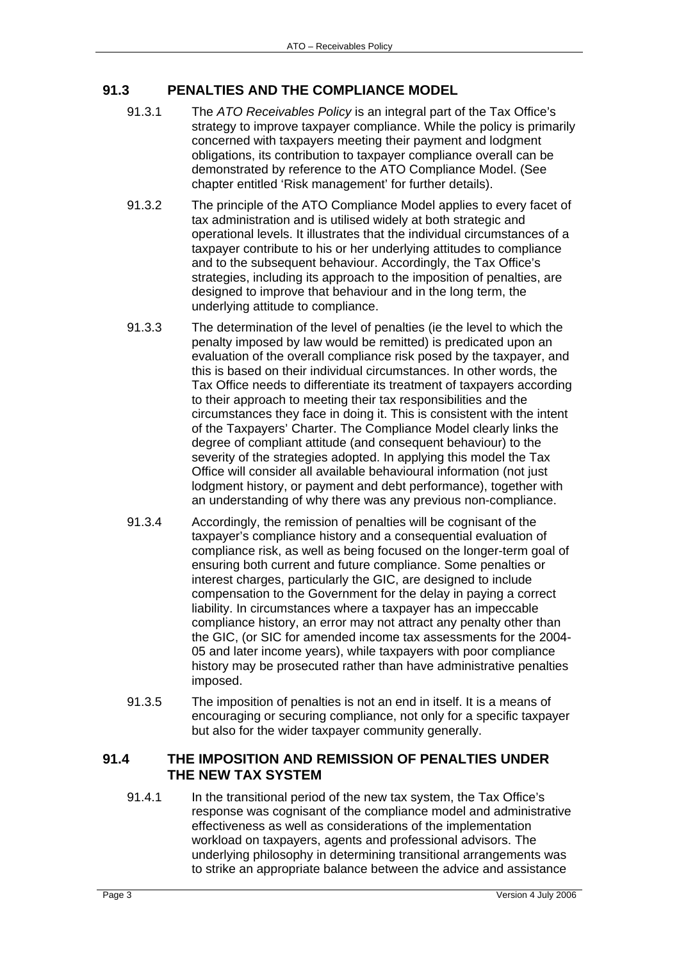# **91.3 PENALTIES AND THE COMPLIANCE MODEL**

- 91.3.1 The *ATO Receivables Policy* is an integral part of the Tax Office's strategy to improve taxpayer compliance. While the policy is primarily concerned with taxpayers meeting their payment and lodgment obligations, its contribution to taxpayer compliance overall can be demonstrated by reference to the ATO Compliance Model. (See chapter entitled 'Risk management' for further details).
- 91.3.2 The principle of the ATO Compliance Model applies to every facet of tax administration and is utilised widely at both strategic and operational levels. It illustrates that the individual circumstances of a taxpayer contribute to his or her underlying attitudes to compliance and to the subsequent behaviour. Accordingly, the Tax Office's strategies, including its approach to the imposition of penalties, are designed to improve that behaviour and in the long term, the underlying attitude to compliance.
- 91.3.3 The determination of the level of penalties (ie the level to which the penalty imposed by law would be remitted) is predicated upon an evaluation of the overall compliance risk posed by the taxpayer, and this is based on their individual circumstances. In other words, the Tax Office needs to differentiate its treatment of taxpayers according to their approach to meeting their tax responsibilities and the circumstances they face in doing it. This is consistent with the intent of the Taxpayers' Charter. The Compliance Model clearly links the degree of compliant attitude (and consequent behaviour) to the severity of the strategies adopted. In applying this model the Tax Office will consider all available behavioural information (not just lodgment history, or payment and debt performance), together with an understanding of why there was any previous non-compliance.
- 91.3.4 Accordingly, the remission of penalties will be cognisant of the taxpayer's compliance history and a consequential evaluation of compliance risk, as well as being focused on the longer-term goal of ensuring both current and future compliance. Some penalties or interest charges, particularly the GIC, are designed to include compensation to the Government for the delay in paying a correct liability. In circumstances where a taxpayer has an impeccable compliance history, an error may not attract any penalty other than the GIC, (or SIC for amended income tax assessments for the 2004- 05 and later income years), while taxpayers with poor compliance history may be prosecuted rather than have administrative penalties imposed.
- 91.3.5 The imposition of penalties is not an end in itself. It is a means of encouraging or securing compliance, not only for a specific taxpayer but also for the wider taxpayer community generally.

### **91.4 THE IMPOSITION AND REMISSION OF PENALTIES UNDER THE NEW TAX SYSTEM**

91.4.1 In the transitional period of the new tax system, the Tax Office's response was cognisant of the compliance model and administrative effectiveness as well as considerations of the implementation workload on taxpayers, agents and professional advisors. The underlying philosophy in determining transitional arrangements was to strike an appropriate balance between the advice and assistance